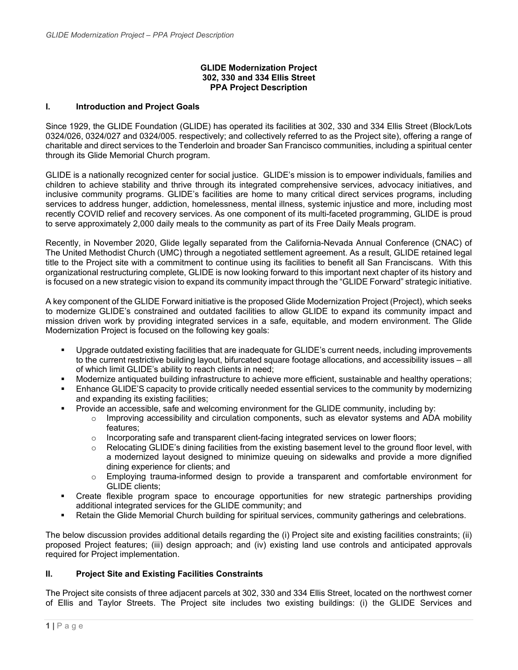### **GLIDE Modernization Project 302, 330 and 334 Ellis Street PPA Project Description**

### **I. Introduction and Project Goals**

Since 1929, the GLIDE Foundation (GLIDE) has operated its facilities at 302, 330 and 334 Ellis Street (Block/Lots 0324/026, 0324/027 and 0324/005. respectively; and collectively referred to as the Project site), offering a range of charitable and direct services to the Tenderloin and broader San Francisco communities, including a spiritual center through its Glide Memorial Church program.

GLIDE is a nationally recognized center for social justice. GLIDE's mission is to empower individuals, families and children to achieve stability and thrive through its integrated comprehensive services, advocacy initiatives, and inclusive community programs. GLIDE's facilities are home to many critical direct services programs, including services to address hunger, addiction, homelessness, mental illness, systemic injustice and more, including most recently COVID relief and recovery services. As one component of its multi-faceted programming, GLIDE is proud to serve approximately 2,000 daily meals to the community as part of its Free Daily Meals program.

Recently, in November 2020, Glide legally separated from the California-Nevada Annual Conference (CNAC) of The United Methodist Church (UMC) through a negotiated settlement agreement. As a result, GLIDE retained legal title to the Project site with a commitment to continue using its facilities to benefit all San Franciscans. With this organizational restructuring complete, GLIDE is now looking forward to this important next chapter of its history and is focused on a new strategic vision to expand its community impact through the "GLIDE Forward" strategic initiative.

A key component of the GLIDE Forward initiative is the proposed Glide Modernization Project (Project), which seeks to modernize GLIDE's constrained and outdated facilities to allow GLIDE to expand its community impact and mission driven work by providing integrated services in a safe, equitable, and modern environment. The Glide Modernization Project is focused on the following key goals:

- Upgrade outdated existing facilities that are inadequate for GLIDE's current needs, including improvements to the current restrictive building layout, bifurcated square footage allocations, and accessibility issues – all of which limit GLIDE's ability to reach clients in need;
- Modernize antiquated building infrastructure to achieve more efficient, sustainable and healthy operations;
- Enhance GLIDE'S capacity to provide critically needed essential services to the community by modernizing and expanding its existing facilities;
- Provide an accessible, safe and welcoming environment for the GLIDE community, including by:
	- $\circ$  Improving accessibility and circulation components, such as elevator systems and ADA mobility features;
	- $\circ$  Incorporating safe and transparent client-facing integrated services on lower floors;
	- $\circ$  Relocating GLIDE's dining facilities from the existing basement level to the ground floor level, with a modernized layout designed to minimize queuing on sidewalks and provide a more dignified dining experience for clients; and
	- o Employing trauma-informed design to provide a transparent and comfortable environment for GLIDE clients;
- Create flexible program space to encourage opportunities for new strategic partnerships providing additional integrated services for the GLIDE community; and
- Retain the Glide Memorial Church building for spiritual services, community gatherings and celebrations.

The below discussion provides additional details regarding the (i) Project site and existing facilities constraints; (ii) proposed Project features; (iii) design approach; and (iv) existing land use controls and anticipated approvals required for Project implementation.

#### **II. Project Site and Existing Facilities Constraints**

The Project site consists of three adjacent parcels at 302, 330 and 334 Ellis Street, located on the northwest corner of Ellis and Taylor Streets. The Project site includes two existing buildings: (i) the GLIDE Services and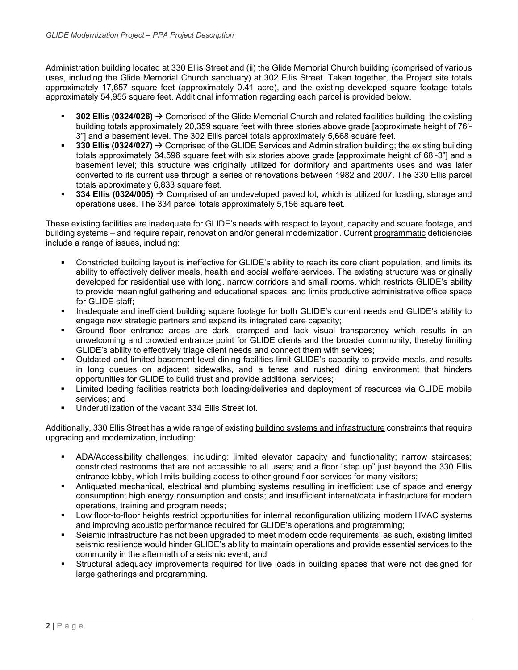Administration building located at 330 Ellis Street and (ii) the Glide Memorial Church building (comprised of various uses, including the Glide Memorial Church sanctuary) at 302 Ellis Street. Taken together, the Project site totals approximately 17,657 square feet (approximately 0.41 acre), and the existing developed square footage totals approximately 54,955 square feet. Additional information regarding each parcel is provided below.

- **302 Ellis (0324/026)**  Comprised of the Glide Memorial Church and related facilities building; the existing building totals approximately 20,359 square feet with three stories above grade [approximate height of 76'- 3"] and a basement level. The 302 Ellis parcel totals approximately 5,668 square feet.
- **330 Ellis (0324/027) → Comprised of the GLIDE Services and Administration building; the existing building** totals approximately 34,596 square feet with six stories above grade [approximate height of 68'-3"] and a basement level; this structure was originally utilized for dormitory and apartments uses and was later converted to its current use through a series of renovations between 1982 and 2007. The 330 Ellis parcel totals approximately 6,833 square feet.
- **334 Ellis (0324/005)** Comprised of an undeveloped paved lot, which is utilized for loading, storage and operations uses. The 334 parcel totals approximately 5,156 square feet.

These existing facilities are inadequate for GLIDE's needs with respect to layout, capacity and square footage, and building systems – and require repair, renovation and/or general modernization. Current programmatic deficiencies include a range of issues, including:

- Constricted building layout is ineffective for GLIDE's ability to reach its core client population, and limits its ability to effectively deliver meals, health and social welfare services. The existing structure was originally developed for residential use with long, narrow corridors and small rooms, which restricts GLIDE's ability to provide meaningful gathering and educational spaces, and limits productive administrative office space for GLIDE staff;
- Inadequate and inefficient building square footage for both GLIDE's current needs and GLIDE's ability to engage new strategic partners and expand its integrated care capacity;
- Ground floor entrance areas are dark, cramped and lack visual transparency which results in an unwelcoming and crowded entrance point for GLIDE clients and the broader community, thereby limiting GLIDE's ability to effectively triage client needs and connect them with services;
- Outdated and limited basement-level dining facilities limit GLIDE's capacity to provide meals, and results in long queues on adjacent sidewalks, and a tense and rushed dining environment that hinders opportunities for GLIDE to build trust and provide additional services;
- Limited loading facilities restricts both loading/deliveries and deployment of resources via GLIDE mobile services; and
- Underutilization of the vacant 334 Ellis Street lot.

Additionally, 330 Ellis Street has a wide range of existing building systems and infrastructure constraints that require upgrading and modernization, including:

- ADA/Accessibility challenges, including: limited elevator capacity and functionality; narrow staircases; constricted restrooms that are not accessible to all users; and a floor "step up" just beyond the 330 Ellis entrance lobby, which limits building access to other ground floor services for many visitors;
- Antiquated mechanical, electrical and plumbing systems resulting in inefficient use of space and energy consumption; high energy consumption and costs; and insufficient internet/data infrastructure for modern operations, training and program needs;
- Low floor-to-floor heights restrict opportunities for internal reconfiguration utilizing modern HVAC systems and improving acoustic performance required for GLIDE's operations and programming;
- Seismic infrastructure has not been upgraded to meet modern code requirements; as such, existing limited seismic resilience would hinder GLIDE's ability to maintain operations and provide essential services to the community in the aftermath of a seismic event; and
- Structural adequacy improvements required for live loads in building spaces that were not designed for large gatherings and programming.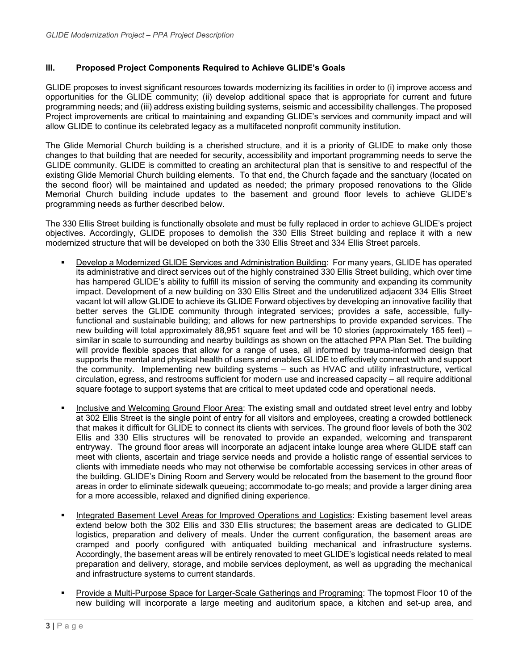### **III. Proposed Project Components Required to Achieve GLIDE's Goals**

GLIDE proposes to invest significant resources towards modernizing its facilities in order to (i) improve access and opportunities for the GLIDE community; (ii) develop additional space that is appropriate for current and future programming needs; and (iii) address existing building systems, seismic and accessibility challenges. The proposed Project improvements are critical to maintaining and expanding GLIDE's services and community impact and will allow GLIDE to continue its celebrated legacy as a multifaceted nonprofit community institution.

The Glide Memorial Church building is a cherished structure, and it is a priority of GLIDE to make only those changes to that building that are needed for security, accessibility and important programming needs to serve the GLIDE community. GLIDE is committed to creating an architectural plan that is sensitive to and respectful of the existing Glide Memorial Church building elements. To that end, the Church façade and the sanctuary (located on the second floor) will be maintained and updated as needed; the primary proposed renovations to the Glide Memorial Church building include updates to the basement and ground floor levels to achieve GLIDE's programming needs as further described below.

The 330 Ellis Street building is functionally obsolete and must be fully replaced in order to achieve GLIDE's project objectives. Accordingly, GLIDE proposes to demolish the 330 Ellis Street building and replace it with a new modernized structure that will be developed on both the 330 Ellis Street and 334 Ellis Street parcels.

- Develop a Modernized GLIDE Services and Administration Building: For many years, GLIDE has operated its administrative and direct services out of the highly constrained 330 Ellis Street building, which over time has hampered GLIDE's ability to fulfill its mission of serving the community and expanding its community impact. Development of a new building on 330 Ellis Street and the underutilized adjacent 334 Ellis Street vacant lot will allow GLIDE to achieve its GLIDE Forward objectives by developing an innovative facility that better serves the GLIDE community through integrated services; provides a safe, accessible, fullyfunctional and sustainable building; and allows for new partnerships to provide expanded services. The new building will total approximately 88,951 square feet and will be 10 stories (approximately 165 feet) – similar in scale to surrounding and nearby buildings as shown on the attached PPA Plan Set. The building will provide flexible spaces that allow for a range of uses, all informed by trauma-informed design that supports the mental and physical health of users and enables GLIDE to effectively connect with and support the community. Implementing new building systems – such as HVAC and utility infrastructure, vertical circulation, egress, and restrooms sufficient for modern use and increased capacity – all require additional square footage to support systems that are critical to meet updated code and operational needs.
- Inclusive and Welcoming Ground Floor Area: The existing small and outdated street level entry and lobby at 302 Ellis Street is the single point of entry for all visitors and employees, creating a crowded bottleneck that makes it difficult for GLIDE to connect its clients with services. The ground floor levels of both the 302 Ellis and 330 Ellis structures will be renovated to provide an expanded, welcoming and transparent entryway. The ground floor areas will incorporate an adjacent intake lounge area where GLIDE staff can meet with clients, ascertain and triage service needs and provide a holistic range of essential services to clients with immediate needs who may not otherwise be comfortable accessing services in other areas of the building. GLIDE's Dining Room and Servery would be relocated from the basement to the ground floor areas in order to eliminate sidewalk queueing; accommodate to-go meals; and provide a larger dining area for a more accessible, relaxed and dignified dining experience.
- Integrated Basement Level Areas for Improved Operations and Logistics: Existing basement level areas extend below both the 302 Ellis and 330 Ellis structures; the basement areas are dedicated to GLIDE logistics, preparation and delivery of meals. Under the current configuration, the basement areas are cramped and poorly configured with antiquated building mechanical and infrastructure systems. Accordingly, the basement areas will be entirely renovated to meet GLIDE's logistical needs related to meal preparation and delivery, storage, and mobile services deployment, as well as upgrading the mechanical and infrastructure systems to current standards.
- Provide a Multi-Purpose Space for Larger-Scale Gatherings and Programing: The topmost Floor 10 of the new building will incorporate a large meeting and auditorium space, a kitchen and set-up area, and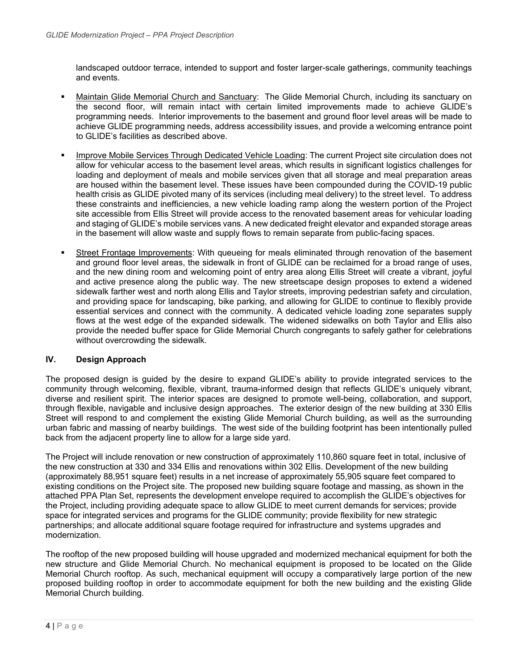landscaped outdoor terrace, intended to support and foster larger-scale gatherings, community teachings and events.

- Maintain Glide Memorial Church and Sanctuary: The Glide Memorial Church, including its sanctuary on the second floor, will remain intact with certain limited improvements made to achieve GLIDE's programming needs. Interior improvements to the basement and ground floor level areas will be made to achieve GLIDE programming needs, address accessibility issues, and provide a welcoming entrance point to GLIDE's facilities as described above.
- Improve Mobile Services Through Dedicated Vehicle Loading: The current Project site circulation does not allow for vehicular access to the basement level areas, which results in significant logistics challenges for loading and deployment of meals and mobile services given that all storage and meal preparation areas are housed within the basement level. These issues have been compounded during the COVID-19 public health crisis as GLIDE pivoted many of its services (including meal delivery) to the street level. To address these constraints and inefficiencies, a new vehicle loading ramp along the western portion of the Project site accessible from Ellis Street will provide access to the renovated basement areas for vehicular loading and staging of GLIDE's mobile services vans. A new dedicated freight elevator and expanded storage areas in the basement will allow waste and supply flows to remain separate from public-facing spaces.
- Street Frontage Improvements: With queueing for meals eliminated through renovation of the basement and ground floor level areas, the sidewalk in front of GLIDE can be reclaimed for a broad range of uses, and the new dining room and welcoming point of entry area along Ellis Street will create a vibrant, joyful and active presence along the public way. The new streetscape design proposes to extend a widened sidewalk farther west and north along Ellis and Taylor streets, improving pedestrian safety and circulation, and providing space for landscaping, bike parking, and allowing for GLIDE to continue to flexibly provide essential services and connect with the community. A dedicated vehicle loading zone separates supply flows at the west edge of the expanded sidewalk. The widened sidewalks on both Taylor and Ellis also provide the needed buffer space for Glide Memorial Church congregants to safely gather for celebrations without overcrowding the sidewalk.

## **IV. Design Approach**

The proposed design is guided by the desire to expand GLIDE's ability to provide integrated services to the community through welcoming, flexible, vibrant, trauma-informed design that reflects GLIDE's uniquely vibrant, diverse and resilient spirit. The interior spaces are designed to promote well-being, collaboration, and support, through flexible, navigable and inclusive design approaches. The exterior design of the new building at 330 Ellis Street will respond to and complement the existing Glide Memorial Church building, as well as the surrounding urban fabric and massing of nearby buildings. The west side of the building footprint has been intentionally pulled back from the adjacent property line to allow for a large side yard.

The Project will include renovation or new construction of approximately 110,860 square feet in total, inclusive of the new construction at 330 and 334 Ellis and renovations within 302 Ellis. Development of the new building (approximately 88,951 square feet) results in a net increase of approximately 55,905 square feet compared to existing conditions on the Project site. The proposed new building square footage and massing, as shown in the attached PPA Plan Set, represents the development envelope required to accomplish the GLIDE's objectives for the Project, including providing adequate space to allow GLIDE to meet current demands for services; provide space for integrated services and programs for the GLIDE community; provide flexibility for new strategic partnerships; and allocate additional square footage required for infrastructure and systems upgrades and modernization.

The rooftop of the new proposed building will house upgraded and modernized mechanical equipment for both the new structure and Glide Memorial Church. No mechanical equipment is proposed to be located on the Glide Memorial Church rooftop. As such, mechanical equipment will occupy a comparatively large portion of the new proposed building rooftop in order to accommodate equipment for both the new building and the existing Glide Memorial Church building.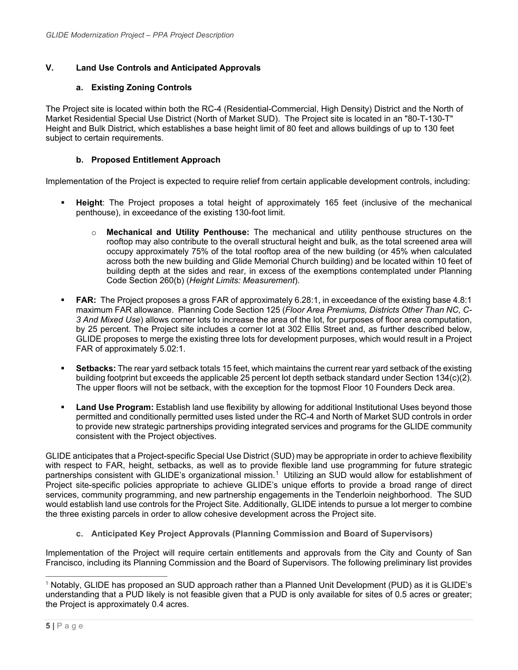# **V. Land Use Controls and Anticipated Approvals**

# **a. Existing Zoning Controls**

The Project site is located within both the RC-4 (Residential-Commercial, High Density) District and the North of Market Residential Special Use District (North of Market SUD). The Project site is located in an "80-T-130-T" Height and Bulk District, which establishes a base height limit of 80 feet and allows buildings of up to 130 feet subject to certain requirements.

# **b. Proposed Entitlement Approach**

Implementation of the Project is expected to require relief from certain applicable development controls, including:

- **Height**: The Project proposes a total height of approximately 165 feet (inclusive of the mechanical penthouse), in exceedance of the existing 130-foot limit.
	- o **Mechanical and Utility Penthouse:** The mechanical and utility penthouse structures on the rooftop may also contribute to the overall structural height and bulk, as the total screened area will occupy approximately 75% of the total rooftop area of the new building (or 45% when calculated across both the new building and Glide Memorial Church building) and be located within 10 feet of building depth at the sides and rear, in excess of the exemptions contemplated under Planning Code Section 260(b) (*Height Limits: Measurement*).
- **FAR:** The Project proposes a gross FAR of approximately 6.28:1, in exceedance of the existing base 4.8:1 maximum FAR allowance. Planning Code Section 125 (*Floor Area Premiums, Districts Other Than NC, C-3 And Mixed Use*) allows corner lots to increase the area of the lot, for purposes of floor area computation, by 25 percent. The Project site includes a corner lot at 302 Ellis Street and, as further described below, GLIDE proposes to merge the existing three lots for development purposes, which would result in a Project FAR of approximately 5.02:1.
- **Setbacks:** The rear yard setback totals 15 feet, which maintains the current rear yard setback of the existing building footprint but exceeds the applicable 25 percent lot depth setback standard under Section 134(c)(2). The upper floors will not be setback, with the exception for the topmost Floor 10 Founders Deck area.
- **Land Use Program:** Establish land use flexibility by allowing for additional Institutional Uses beyond those permitted and conditionally permitted uses listed under the RC-4 and North of Market SUD controls in order to provide new strategic partnerships providing integrated services and programs for the GLIDE community consistent with the Project objectives.

GLIDE anticipates that a Project-specific Special Use District (SUD) may be appropriate in order to achieve flexibility with respect to FAR, height, setbacks, as well as to provide flexible land use programming for future strategic partnerships consistent with GLIDE's organizational mission. [1](#page-4-0) Utilizing an SUD would allow for establishment of Project site-specific policies appropriate to achieve GLIDE's unique efforts to provide a broad range of direct services, community programming, and new partnership engagements in the Tenderloin neighborhood. The SUD would establish land use controls for the Project Site. Additionally, GLIDE intends to pursue a lot merger to combine the three existing parcels in order to allow cohesive development across the Project site.

**c. Anticipated Key Project Approvals (Planning Commission and Board of Supervisors)**

Implementation of the Project will require certain entitlements and approvals from the City and County of San Francisco, including its Planning Commission and the Board of Supervisors. The following preliminary list provides

<span id="page-4-0"></span><sup>1</sup> Notably, GLIDE has proposed an SUD approach rather than a Planned Unit Development (PUD) as it is GLIDE's understanding that a PUD likely is not feasible given that a PUD is only available for sites of 0.5 acres or greater; the Project is approximately 0.4 acres.